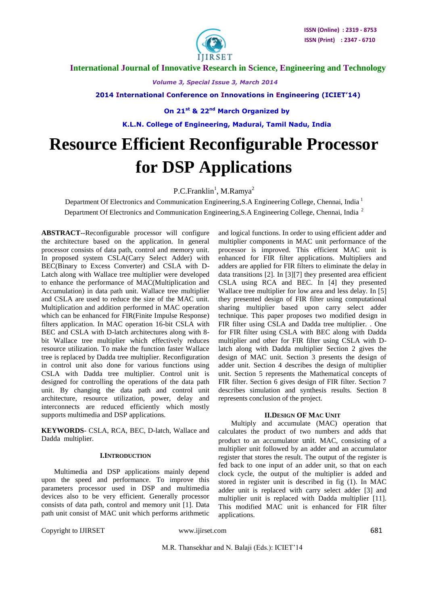

 **International Journal of Innovative Research in Science, Engineering and Technology**

 *Volume 3, Special Issue 3, March 2014*

 **2014 International Conference on Innovations in Engineering (ICIET'14)**

 **On 21st & 22nd March Organized by**

 **K.L.N. College of Engineering, Madurai, Tamil Nadu, India**

# **Resource Efficient Reconfigurable Processor for DSP Applications**

P.C.Franklin<sup>1</sup>, M.Ramya<sup>2</sup>

Department Of Electronics and Communication Engineering, S.A Engineering College, Chennai, India<sup>1</sup> Department Of Electronics and Communication Engineering, S.A Engineering College, Chennai, India<sup>2</sup>

**ABSTRACT**--Reconfigurable processor will configure the architecture based on the application. In general processor consists of data path, control and memory unit. In proposed system CSLA(Carry Select Adder) with BEC(Binary to Excess Converter) and CSLA with D-Latch along with Wallace tree multiplier were developed to enhance the performance of MAC(Multiplication and Accumulation) in data path unit. Wallace tree multiplier and CSLA are used to reduce the size of the MAC unit. Multiplication and addition performed in MAC operation which can be enhanced for FIR(Finite Impulse Response) filters application. In MAC operation 16-bit CSLA with BEC and CSLA with D-latch architectures along with 8 bit Wallace tree multiplier which effectively reduces resource utilization. To make the function faster Wallace tree is replaced by Dadda tree multiplier. Reconfiguration in control unit also done for various functions using CSLA with Dadda tree multiplier. Control unit is designed for controlling the operations of the data path unit. By changing the data path and control unit architecture, resource utilization, power, delay and interconnects are reduced efficiently which mostly supports multimedia and DSP applications.

**KEYWORDS**- CSLA, RCA, BEC, D-latch, Wallace and Dadda multiplier.

### **I.INTRODUCTION**

 Multimedia and DSP applications mainly depend upon the speed and performance. To improve this parameters processor used in DSP and multimedia devices also to be very efficient. Generally processor consists of data path, control and memory unit [1]. Data path unit consist of MAC unit which performs arithmetic

and logical functions. In order to using efficient adder and multiplier components in MAC unit performance of the processor is improved. This efficient MAC unit is enhanced for FIR filter applications. Multipliers and adders are applied for FIR filters to eliminate the delay in data transitions [2]. In [3][7] they presented area efficient CSLA using RCA and BEC. In [4] they presented Wallace tree multiplier for low area and less delay. In [5] they presented design of FIR filter using computational sharing multiplier based upon carry select adder technique. This paper proposes two modified design in FIR filter using CSLA and Dadda tree multiplier. . One for FIR filter using CSLA with BEC along with Dadda multiplier and other for FIR filter using CSLA with Dlatch along with Dadda multiplier Section 2 gives the design of MAC unit. Section 3 presents the design of adder unit. Section 4 describes the design of multiplier unit. Section 5 represents the Mathematical concepts of FIR filter. Section 6 gives design of FIR filter. Section 7 describes simulation and synthesis results. Section 8 represents conclusion of the project.

### **II.DESIGN OF MAC UNIT**

 Multiply and accumulate (MAC) operation that calculates the product of two numbers and adds that product to an [accumulator](http://en.wikipedia.org/wiki/Accumulator_%28computing%29) unit. MAC, consisting of a multiplier unit followed by an [adder](http://en.wikipedia.org/wiki/Adder_%28electronics%29) and an accumulator register that stores the result. The output of the register is fed back to one input of an adder unit, so that on each clock cycle, the output of the multiplier is added and stored in register unit is described in fig (1). In MAC adder unit is replaced with carry select adder [3] and multiplier unit is replaced with Dadda multiplier [11]. This modified MAC unit is enhanced for FIR filter applications.

Copyright to IJIRSET www.ijirset.com 681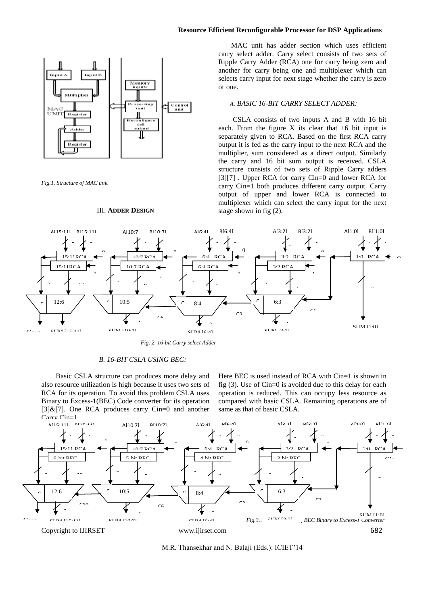### **Resource Efficient Reconfigurable Processor for DSP Applications**



*Fig.1. Structure of MAC unit*

# III. **ADDER DESIGN**

 MAC unit has adder section which uses efficient carry select adder. Carry select consists of two sets of Ripple Carry Adder (RCA) one for carry being zero and another for carry being one and multiplexer which can selects carry input for next stage whether the carry is zero or one.

### *A. BASIC 16-BIT CARRY SELECT ADDER:*

 CSLA consists of two inputs A and B with 16 bit each. From the figure X its clear that 16 bit input is separately given to RCA. Based on the first RCA carry output it is fed as the carry input to the next RCA and the multiplier, sum considered as a direct output. Similarly the carry and 16 bit sum output is received. CSLA structure consists of two sets of Ripple Carry adders [3][7] . Upper RCA for carry Cin=0 and lower RCA for carry Cin=1 both produces different carry output. Carry output of upper and lower RCA is connected to multiplexer which can select the carry input for the next stage shown in fig (2).



 *Fig. 2. 16-bit Carry select Adder*

# *B. 16-BIT CSLA USING BEC:*

 Basic CSLA structure can produces more delay and also resource utilization is high because it uses two sets of RCA for its operation. To avoid this problem CSLA uses Binary to Excess-1(BEC) Code converter for its operation  $[3] & [7]$ . One RCA produces carry Cin=0 and another

Here BEC is used instead of RCA with Cin=1 is shown in fig (3). Use of Cin=0 is avoided due to this delay for each operation is reduced. This can occupy less resource as compared with basic CSLA. Remaining operations are of same as that of basic CSLA.



M.R. Thansekhar and N. Balaji (Eds.): ICIET'14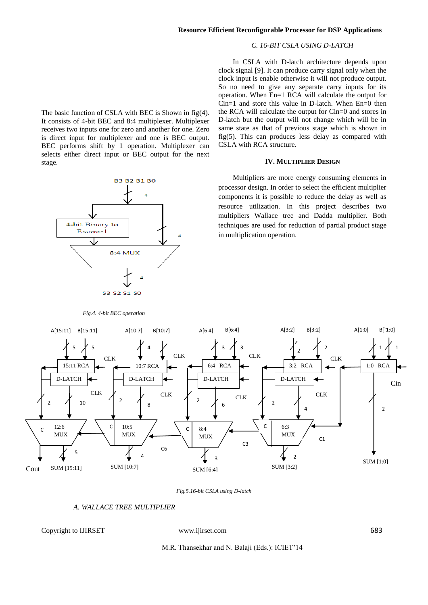# *C. 16-BIT CSLA USING D-LATCH*

In CSLA with D-latch architecture depends upon

clock signal [9]. It can produce carry signal only when the clock input is enable otherwise it will not produce output. So no need to give any separate carry inputs for its operation. When En=1 RCA will calculate the output for Cin=1 and store this value in D-latch. When En=0 then the RCA will calculate the output for Cin=0 and stores in D-latch but the output will not change which will be in same state as that of previous stage which is shown in fig(5). This can produces less delay as compared with CSLA with RCA structure.

# **IV. MULTIPLIER DESIGN**

 Multipliers are more energy consuming elements in processor design. In order to select the efficient multiplier components it is possible to reduce the delay as well as resource utilization. In this project describes two multipliers Wallace tree and Dadda multiplier. Both techniques are used for reduction of partial product stage in multiplication operation.

The basic function of CSLA with BEC is Shown in fig(4). It consists of 4-bit BEC and 8:4 multiplexer. Multiplexer receives two inputs one for zero and another for one. Zero is direct input for multiplexer and one is BEC output. BEC performs shift by 1 operation. Multiplexer can selects either direct input or BEC output for the next stage.



### *Fig.4. 4-bit BEC operation*



### *Fig.5.16-bit CSLA using D-latch*

# *A. WALLACE TREE MULTIPLIER*

# Copyright to IJIRSET www.ijirset.com 683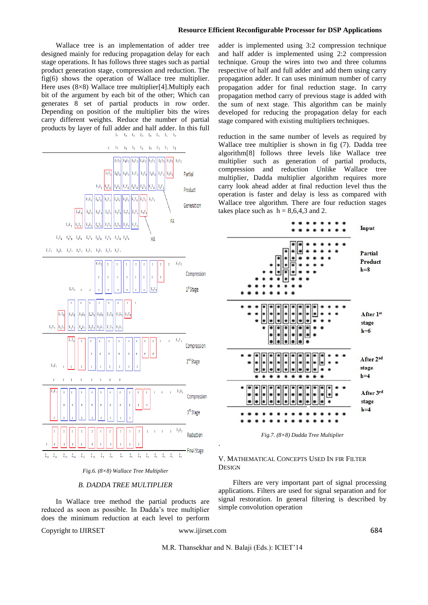### **Resource Efficient Reconfigurable Processor for DSP Applications**

 Wallace tree is an implementation of adder tree designed mainly for reducing propagation delay for each stage operations. It has follows three stages such as partial product generation stage, compression and reduction. The fig(6) shows the operation of Wallace tree multiplier. Here uses (8×8) Wallace tree multiplier[4]. Multiply each bit of the argument by each bit of the other; Which can generates 8 set of partial products in row order. Depending on position of the multiplier bits the wires carry different weights. Reduce the number of partial products by layer of full adder and half adder. In this full  $X_2$   $X_4$   $X_5$   $X_4$   $X_5$   $X_2$   $X_1$   $X_0$ 





### *B. DADDA TREE MULTIPLIER*

 In Wallace tree method the partial products are reduced as soon as possible. In Dadda's tree multiplier does the minimum reduction at each level to perform

Copyright to IJIRSET www.ijirset.com 684

.

adder is implemented using 3:2 compression technique and half adder is implemented using 2:2 compression technique. Group the wires into two and three columns respective of half and full adder and add them using carry propagation adder. It can uses minimum number of carry propagation adder for final reduction stage. In carry propagation method carry of previous stage is added with the sum of next stage. This algorithm can be mainly developed for reducing the propagation delay for each stage compared with existing multipliers techniques.

reduction in the same number of levels as required by Wallace tree multiplier is shown in fig (7). Dadda tree algorithm[8] follows three levels like Wallace tree multiplier such as generation of partial products, compression and reduction Unlike Wallace tree multiplier, Dadda multiplier algorithm requires more carry look ahead adder at final reduction level thus the operation is faster and delay is less as compared with Wallace tree algorithm. There are four reduction stages takes place such as  $h = 8,6,4,3$  and 2.



*Fig.7. (8×8) Dadda Tree Multiplier*

# V. MATHEMATICAL CONCEPTS USED IN FIR FILTER **DESIGN**

 Filters are very important part of signal processing applications. Filters are used for signal separation and for signal restoration. In general filtering is described by simple convolution operation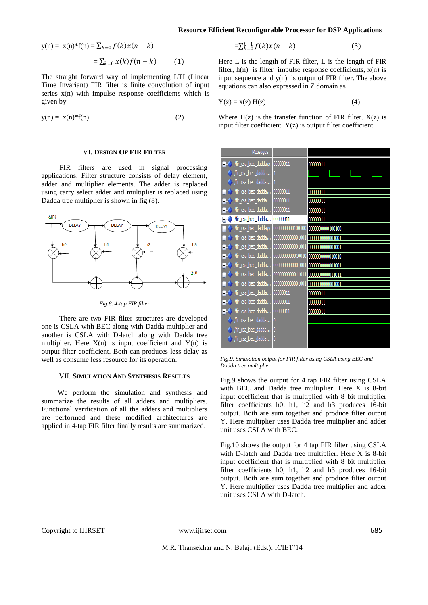**Resource Efficient Reconfigurable Processor for DSP Applications**

$$
y(n) = x(n)*f(n) = \sum_{k=0}^{n} f(k)x(n-k)
$$

$$
=\sum_{k=0} x(k)f(n-k) \qquad (1)
$$

The straight forward way of implementing LTI (Linear Time Invariant) FIR filter is finite convolution of input series  $x(n)$  with impulse response coefficients which is given by

$$
y(n) = x(n)^*f(n) \tag{2}
$$

### VI**. DESIGN OF FIR FILTER**

 FIR filters are used in signal processing applications. Filter structure consists of delay element, adder and multiplier elements. The adder is replaced using carry select adder and multiplier is replaced using Dadda tree multiplier is shown in fig (8).



*Fig.8. 4-tap FIR filter*

 There are two FIR filter structures are developed one is CSLA with BEC along with Dadda multiplier and another is CSLA with D-latch along with Dadda tree multiplier. Here  $X(n)$  is input coefficient and  $Y(n)$  is output filter coefficient. Both can produces less delay as well as consume less resource for its operation.

### VII. **SIMULATION AND SYNTHESIS RESULTS**

 We perform the simulation and synthesis and summarize the results of all adders and multipliers. Functional verification of all the adders and multipliers are performed and these modified architectures are applied in 4-tap FIR filter finally results are summarized.

$$
=\sum_{k=0}^{L-1} f(k)x(n-k)
$$
 (3)

Here L is the length of FIR filter, L is the length of FIR filter,  $h(n)$  is filter impulse response coefficients,  $x(n)$  is input sequence and  $y(n)$  is output of FIR filter. The above equations can also expressed in Z domain as

$$
Y(z) = x(z) H(z)
$$
 (4)

Where  $H(z)$  is the transfer function of FIR filter.  $X(z)$  is input filter coefficient. Y(z) is output filter coefficient.

| Messages                           |                  |                  |  |
|------------------------------------|------------------|------------------|--|
| fir_csa_bec_dadda/x 00000011<br>т. |                  | 00000011         |  |
| fir_csa_bec_dadda                  |                  |                  |  |
|                                    |                  |                  |  |
| fir_csa_bec_dadda                  |                  |                  |  |
| /fir_csa_bec_dadda<br>Ŧ            | 00000011         | 00000011         |  |
| /fir_csa_bec_dadda<br>Ŧ            | 00000011         | 00000011         |  |
| /fir_csa_bec_dadda<br>Ŧ            | 00000011         | 00000011         |  |
| /fir_csa_bec_dadda<br>Ŧ            | 00000011         | 00000011         |  |
| /fir_csa_bec_dadda/y<br>Ŧ          | 0000000000100100 | 0000000000100100 |  |
| /fir_csa_bec_dadda<br>Ŧ            | 0000000000001001 | 0000000000001001 |  |
| /fir_csa_bec_dadda<br>Ŧ            | 0000000000001001 | 0000000000001001 |  |
| /fir_csa_bec_dadda<br>Ŧ.           | 0000000000010010 | 0000000000010010 |  |
| /fir_csa_bec_dadda<br>Ŧ            | 0000000000001001 | 0000000000001001 |  |
| /fir_csa_bec_dadda<br>Ŧ            | 0000000000011011 | 0000000000011011 |  |
| /fir_csa_bec_dadda<br>Ŧ            | 0000000000001001 | 0000000000001001 |  |
| /fir_csa_bec_dadda<br>Ŧ            | 00000011         | 00000011         |  |
| /fir_csa_bec_dadda<br>Ŧ            | 00000011         | 00000011         |  |
| /fir_csa_bec_dadda<br>Ŧ            | 00000011         | 00000011         |  |
| fir_csa_bec_dadda                  | 0                |                  |  |
| /fir_csa_bec_dadda                 | $\overline{0}$   |                  |  |
| fir_csa_bec_dadda                  | 0                |                  |  |
|                                    |                  |                  |  |

*Fig.9. Simulation output for FIR filter using CSLA using BEC and Dadda tree multiplier*

Fig.9 shows the output for 4 tap FIR filter using CSLA with BEC and Dadda tree multiplier. Here X is 8-bit input coefficient that is multiplied with 8 bit multiplier filter coefficients h0, h1, h2 and h3 produces 16-bit output. Both are sum together and produce filter output Y. Here multiplier uses Dadda tree multiplier and adder unit uses CSLA with BEC.

Fig.10 shows the output for 4 tap FIR filter using CSLA with D-latch and Dadda tree multiplier. Here X is 8-bit input coefficient that is multiplied with 8 bit multiplier filter coefficients h0, h1, h2 and h3 produces 16-bit output. Both are sum together and produce filter output Y. Here multiplier uses Dadda tree multiplier and adder unit uses CSLA with D-latch.

Copyright to IJIRSET www.ijirset.com 685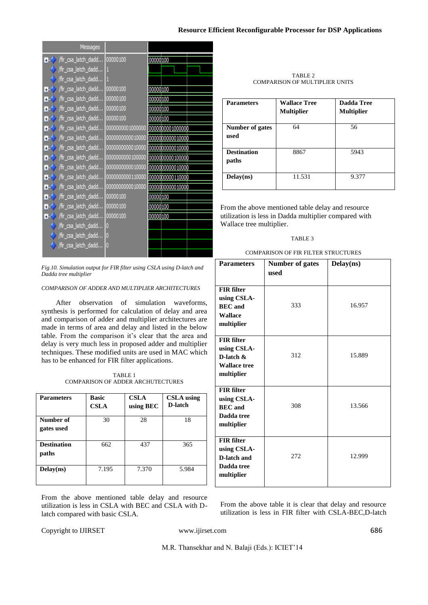### **Resource Efficient Reconfigurable Processor for DSP Applications**

| Messages                    |                  |                  |
|-----------------------------|------------------|------------------|
| /fir_csa_latch_dadd<br>F.   | 00000100         | 00000 100        |
| /fir_csa_latch_dadd         |                  |                  |
| /fir_csa_latch_dadd         |                  |                  |
| Ŧ                           |                  | 00000 100        |
| /fir_csa_latch_dadd<br>퐈    | 00000100         | 00000 100        |
| /fir_csa_latch_dadd…<br>E   | 00000100         | 00000 100        |
| Ŧ                           |                  | 00000 100        |
| /fir_csa_latch_dadd<br>Ŧ    | 0000000001000000 | 0000000001000000 |
| /fir_csa_latch_dadd<br>B    | 0000000000010000 | 0000000000010000 |
| /fir_csa_latch_dadd<br>Ŧ    | 0000000000010000 | 0000000000010000 |
| /fir_csa_latch_dadd<br>Ŧ    | 0000000000100000 | 0000000000100000 |
| /fir_csa_latch_dadd…  <br>B | 0000000000010000 | 0000000000010000 |
| /fir_csa_latch_dadd<br>E    | 0000000000110000 | 0000000000110000 |
| /fir_csa_latch_dadd<br>E    | 0000000000010000 | 0000000000010000 |
| /fir_csa_latch_dadd…_<br>Ŧ  | 00000100         | 00000 100        |
| Ŧ                           |                  | 00000 100        |
| /fir_csa_latch_dadd<br>F.   | 00000100         | 00000 100        |
| /fir_csa_latch_dadd         |                  |                  |
| /fir_csa_latch_dadd 0       |                  |                  |
| /fir_csa_latch_dadd…        | 0                |                  |
|                             |                  |                  |

*Fig.10. Simulation output for FIR filter using CSLA using D-latch and Dadda tree multiplier*

# *COMPARISON OF ADDER AND MULTIPLIER ARCHITECTURES*

 After observation of simulation waveforms, synthesis is performed for calculation of delay and area and comparison of adder and multiplier architectures are made in terms of area and delay and listed in the below table. From the comparison it's clear that the area and delay is very much less in proposed adder and multiplier techniques. These modified units are used in MAC which has to be enhanced for FIR filter applications.

TABLE 1 COMPARISON OF ADDER ARCHUTECTURES

| <b>Parameters</b>           | <b>Basic</b><br><b>CSLA</b> | <b>CSLA</b><br>using BEC | <b>CSLA</b> using<br>D-latch |
|-----------------------------|-----------------------------|--------------------------|------------------------------|
| Number of<br>gates used     | 30                          | 28                       | 18                           |
| <b>Destination</b><br>paths | 662                         | 437                      | 365                          |
| Delay(ns)                   | 7.195                       | 7.370                    | 5.984                        |

From the above mentioned table delay and resource utilization is less in CSLA with BEC and CSLA with Dlatch compared with basic CSLA.

| TABLE 2                               |  |
|---------------------------------------|--|
| <b>COMPARISON OF MULTIPLIER UNITS</b> |  |

| <b>Parameters</b>              | <b>Wallace Tree</b><br><b>Multiplier</b> | Dadda Tree<br><b>Multiplier</b> |
|--------------------------------|------------------------------------------|---------------------------------|
| <b>Number of gates</b><br>used | 64                                       | 56                              |
| <b>Destination</b><br>paths    | 8867                                     | 5943                            |
| Delay(ns)                      | 11.531                                   | 9.377                           |

From the above mentioned table delay and resource utilization is less in Dadda multiplier compared with Wallace tree multiplier.

### TABLE 3

| <b>Parameters</b>                                                                     | <b>Number of gates</b> | Delay(ns) |
|---------------------------------------------------------------------------------------|------------------------|-----------|
|                                                                                       | used                   |           |
| <b>FIR filter</b><br>using CSLA-<br><b>BEC</b> and<br><b>Wallace</b><br>multiplier    | 333                    | 16.957    |
| <b>FIR</b> filter<br>using CSLA-<br>D-latch $\&$<br><b>Wallace tree</b><br>multiplier | 312                    | 15.889    |
| <b>FIR</b> filter<br>using CSLA-<br><b>BEC</b> and<br>Dadda tree<br>multiplier        | 308                    | 13.566    |
| <b>FIR filter</b><br>using CSLA-<br>D-latch and<br>Dadda tree<br>multiplier           | 272                    | 12.999    |

From the above table it is clear that delay and resource utilization is less in FIR filter with CSLA-BEC,D-latch

Copyright to IJIRSET www.ijirset.com 686